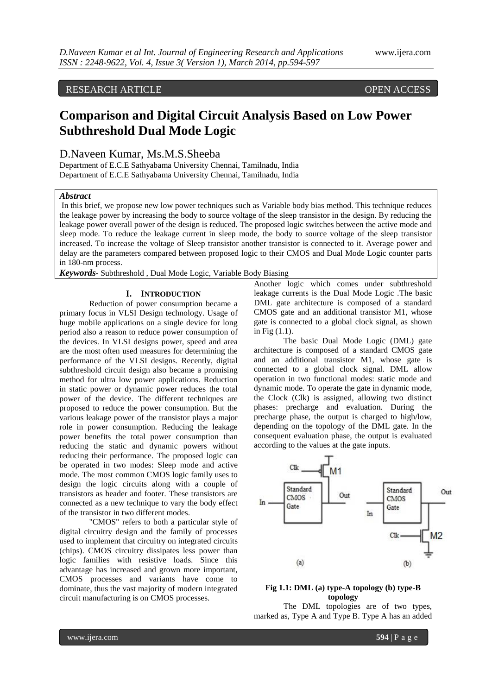# RESEARCH ARTICLE OPEN ACCESS

# **Comparison and Digital Circuit Analysis Based on Low Power Subthreshold Dual Mode Logic**

## D.Naveen Kumar, Ms.M.S.Sheeba

Department of E.C.E Sathyabama University Chennai, Tamilnadu, India Department of E.C.E Sathyabama University Chennai, Tamilnadu, India

#### *Abstract*

In this brief, we propose new low power techniques such as Variable body bias method. This technique reduces the leakage power by increasing the body to source voltage of the sleep transistor in the design. By reducing the leakage power overall power of the design is reduced. The proposed logic switches between the active mode and sleep mode. To reduce the leakage current in sleep mode, the body to source voltage of the sleep transistor increased. To increase the voltage of Sleep transistor another transistor is connected to it. Average power and delay are the parameters compared between proposed logic to their CMOS and Dual Mode Logic counter parts in 180-nm process.

*Keywords-* Subthreshold , Dual Mode Logic, Variable Body Biasing

#### **I. INTRODUCTION**

Reduction of power consumption became a primary focus in VLSI Design technology. Usage of huge mobile applications on a single device for long period also a reason to reduce power consumption of the devices. In VLSI designs power, speed and area are the most often used measures for determining the performance of the VLSI designs. Recently, digital subthreshold circuit design also became a promising method for ultra low power applications. Reduction in static power or dynamic power reduces the total power of the device. The different techniques are proposed to reduce the power consumption. But the various leakage power of the transistor plays a major role in power consumption. Reducing the leakage power benefits the total power consumption than reducing the static and dynamic powers without reducing their performance. The proposed logic can be operated in two modes: Sleep mode and active mode. The most common CMOS logic family uses to design the logic circuits along with a couple of transistors as header and footer. These transistors are connected as a new technique to vary the body effect of the transistor in two different modes.

"CMOS" refers to both a particular style of digital circuitry design and the family of processes used to implement that circuitry on integrated circuits (chips). CMOS circuitry dissipates less power than logic families with resistive loads. Since this advantage has increased and grown more important, CMOS processes and variants have come to dominate, thus the vast majority of modern integrated circuit manufacturing is on CMOS processes.

Another logic which comes under subthreshold leakage currents is the Dual Mode Logic .The basic DML gate architecture is composed of a standard CMOS gate and an additional transistor M1, whose gate is connected to a global clock signal, as shown in Fig (1.1).

The basic Dual Mode Logic (DML) gate architecture is composed of a standard CMOS gate and an additional transistor M1, whose gate is connected to a global clock signal. DML allow operation in two functional modes: static mode and dynamic mode. To operate the gate in dynamic mode, the Clock (Clk) is assigned, allowing two distinct phases: precharge and evaluation. During the precharge phase, the output is charged to high/low, depending on the topology of the DML gate. In the consequent evaluation phase, the output is evaluated according to the values at the gate inputs.



#### **Fig 1.1: DML (a) type-A topology (b) type-B topology**

The DML topologies are of two types, marked as, Type A and Type B. Type A has an added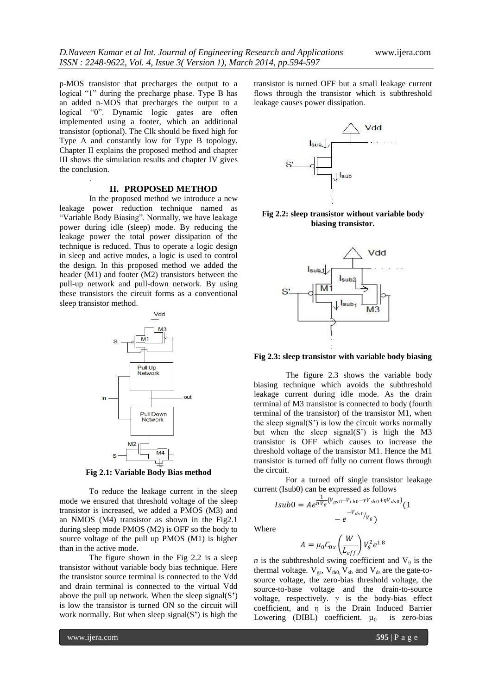p-MOS transistor that precharges the output to a logical "1" during the precharge phase. Type B has an added n-MOS that precharges the output to a logical "0". Dynamic logic gates are often implemented using a footer, which an additional transistor (optional). The Clk should be fixed high for Type A and constantly low for Type B topology. Chapter II explains the proposed method and chapter III shows the simulation results and chapter IV gives the conclusion.

.

#### **II. PROPOSED METHOD**

In the proposed method we introduce a new leakage power reduction technique named as "Variable Body Biasing". Normally, we have leakage power during idle (sleep) mode. By reducing the leakage power the total power dissipation of the technique is reduced. Thus to operate a logic design in sleep and active modes, a logic is used to control the design. In this proposed method we added the header (M1) and footer (M2) transistors between the pull-up network and pull-down network. By using these transistors the circuit forms as a conventional sleep transistor method.



**Fig 2.1: Variable Body Bias method**

To reduce the leakage current in the sleep mode we ensured that threshold voltage of the sleep transistor is increased, we added a PMOS (M3) and an NMOS (M4) transistor as shown in the Fig2.1 during sleep mode PMOS (M2) is OFF so the body to source voltage of the pull up PMOS (M1) is higher than in the active mode.

The figure shown in the Fig 2.2 is a sleep transistor without variable body bias technique. Here the transistor source terminal is connected to the Vdd and drain terminal is connected to the virtual Vdd above the pull up network. When the sleep signal(S**'**) is low the transistor is turned ON so the circuit will work normally. But when sleep signal(S**'**) is high the transistor is turned OFF but a small leakage current flows through the transistor which is subthreshold leakage causes power dissipation.



**Fig 2.2: sleep transistor without variable body biasing transistor.**



**Fig 2.3: sleep transistor with variable body biasing** 

The figure 2.3 shows the variable body biasing technique which avoids the subthreshold leakage current during idle mode. As the drain terminal of M3 transistor is connected to body (fourth terminal of the transistor) of the transistor M1, when the sleep signal $(S')$  is low the circuit works normally but when the sleep signal(S') is high the M3 transistor is OFF which causes to increase the threshold voltage of the transistor M1. Hence the M1 transistor is turned off fully no current flows through the circuit.

For a turned off single transistor leakage current (Isub0) can be expressed as follows

$$
Isub0 = Ae^{\frac{1}{nV_{\theta}}(V_{gs0} - V_{th0} - \gamma V_{sb0} + \eta V_{ds0})}(1 - e^{-V_{ds0}/V_{\theta}})
$$

Where

$$
A = \mu_0 C_{0x} \left(\frac{W}{L_{eff}}\right) V_\theta^2 e^{1.8}
$$

*n* is the subthreshold swing coefficient and  $V_{\theta}$  is the thermal voltage.  $V_{gs}$ ,  $V_{th0}$ ,  $V_{sb}$  and  $V_{ds}$  are the gate-tosource voltage, the zero-bias threshold voltage, the source-to-base voltage and the drain-to-source voltage, respectively.  $\gamma$  is the body-bias effect coefficient, and η is the Drain Induced Barrier Lowering (DIBL) coefficient.  $\mu_0$  is zero-bias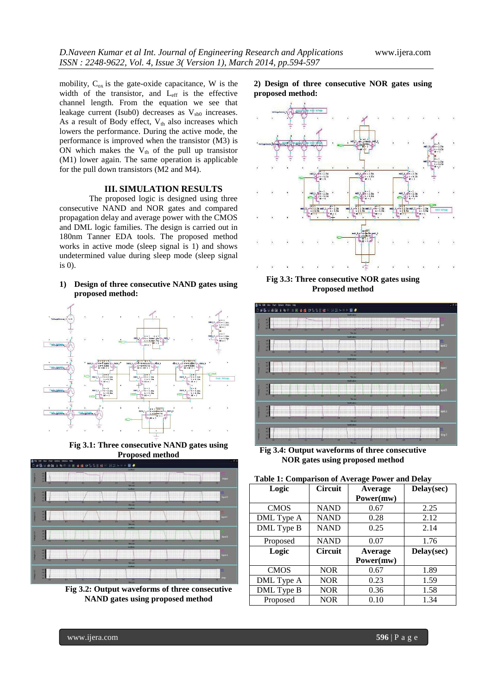mobility,  $C_{ox}$  is the gate-oxide capacitance, W is the width of the transistor, and Leff is the effective channel length. From the equation we see that leakage current (Isub0) decreases as  $V_{sb0}$  increases. As a result of Body effect,  $V_{th}$  also increases which lowers the performance. During the active mode, the performance is improved when the transistor (M3) is ON which makes the  $V_{th}$  of the pull up transistor (M1) lower again. The same operation is applicable for the pull down transistors (M2 and M4).

#### **III. SIMULATION RESULTS**

The proposed logic is designed using three consecutive NAND and NOR gates and compared propagation delay and average power with the CMOS and DML logic families. The design is carried out in 180nm Tanner EDA tools. The proposed method works in active mode (sleep signal is 1) and shows undetermined value during sleep mode (sleep signal is 0).

#### **1) Design of three consecutive NAND gates using proposed method:**



**Fig 3.1: Three consecutive NAND gates using Proposed method**



**Fig 3.2: Output waveforms of three consecutive NAND gates using proposed method**





**Fig 3.3: Three consecutive NOR gates using Proposed method**



**Fig 3.4: Output waveforms of three consecutive NOR gates using proposed method**

| Table 1: Comparison of Average Power and Delay |                |           |            |
|------------------------------------------------|----------------|-----------|------------|
| Logic                                          | <b>Circuit</b> | Average   | Delay(sec) |
|                                                |                | Power(mw) |            |
| <b>CMOS</b>                                    | <b>NAND</b>    | 0.67      | 2.25       |
| DML Type A                                     | <b>NAND</b>    | 0.28      | 2.12       |
| DML Type B                                     | <b>NAND</b>    | 0.25      | 2.14       |
| Proposed                                       | <b>NAND</b>    | 0.07      | 1.76       |
| Logic                                          | <b>Circuit</b> | Average   | Delay(sec) |
|                                                |                | Power(mw) |            |
| <b>CMOS</b>                                    | <b>NOR</b>     | 0.67      | 1.89       |
| DML Type A                                     | <b>NOR</b>     | 0.23      | 1.59       |
| DML Type B                                     | <b>NOR</b>     | 0.36      | 1.58       |
| Proposed                                       | <b>NOR</b>     | 0.10      | 1.34       |

#### **Table 1: Comparison of Average Power and Delay**